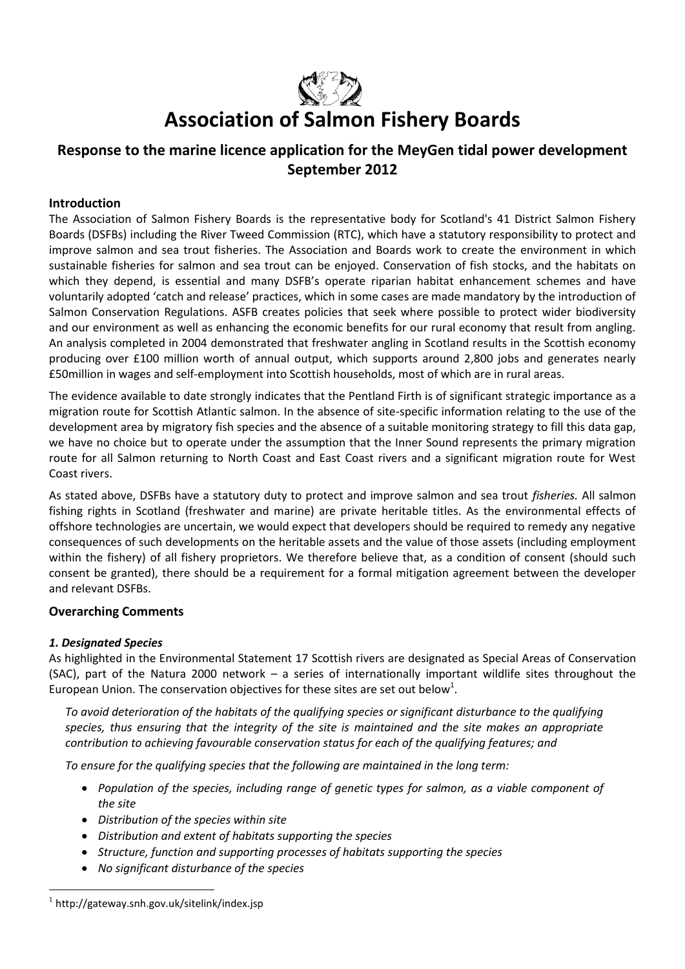

# **Association of Salmon Fishery Boards**

# **Response to the marine licence application for the MeyGen tidal power development September 2012**

# **Introduction**

The Association of Salmon Fishery Boards is the representative body for Scotland's 41 District Salmon Fishery Boards (DSFBs) including the River Tweed Commission (RTC), which have a statutory responsibility to protect and improve salmon and sea trout fisheries. The Association and Boards work to create the environment in which sustainable fisheries for salmon and sea trout can be enjoyed. Conservation of fish stocks, and the habitats on which they depend, is essential and many DSFB's operate riparian habitat enhancement schemes and have voluntarily adopted 'catch and release' practices, which in some cases are made mandatory by the introduction of Salmon Conservation Regulations. ASFB creates policies that seek where possible to protect wider biodiversity and our environment as well as enhancing the economic benefits for our rural economy that result from angling. An analysis completed in 2004 demonstrated that freshwater angling in Scotland results in the Scottish economy producing over £100 million worth of annual output, which supports around 2,800 jobs and generates nearly £50million in wages and self-employment into Scottish households, most of which are in rural areas.

The evidence available to date strongly indicates that the Pentland Firth is of significant strategic importance as a migration route for Scottish Atlantic salmon. In the absence of site-specific information relating to the use of the development area by migratory fish species and the absence of a suitable monitoring strategy to fill this data gap, we have no choice but to operate under the assumption that the Inner Sound represents the primary migration route for all Salmon returning to North Coast and East Coast rivers and a significant migration route for West Coast rivers.

As stated above, DSFBs have a statutory duty to protect and improve salmon and sea trout *fisheries.* All salmon fishing rights in Scotland (freshwater and marine) are private heritable titles. As the environmental effects of offshore technologies are uncertain, we would expect that developers should be required to remedy any negative consequences of such developments on the heritable assets and the value of those assets (including employment within the fishery) of all fishery proprietors. We therefore believe that, as a condition of consent (should such consent be granted), there should be a requirement for a formal mitigation agreement between the developer and relevant DSFBs.

# **Overarching Comments**

# *1. Designated Species*

 $\overline{a}$ 

As highlighted in the Environmental Statement 17 Scottish rivers are designated as Special Areas of Conservation (SAC), part of the Natura 2000 network – a series of internationally important wildlife sites throughout the European Union. The conservation objectives for these sites are set out below<sup>1</sup>.

*To avoid deterioration of the habitats of the qualifying species or significant disturbance to the qualifying species, thus ensuring that the integrity of the site is maintained and the site makes an appropriate contribution to achieving favourable conservation status for each of the qualifying features; and*

*To ensure for the qualifying species that the following are maintained in the long term:*

- *Population of the species, including range of genetic types for salmon, as a viable component of the site*
- *Distribution of the species within site*
- *Distribution and extent of habitats supporting the species*
- *Structure, function and supporting processes of habitats supporting the species*
- *No significant disturbance of the species*

<sup>&</sup>lt;sup>1</sup> http://gateway.snh.gov.uk/sitelink/index.jsp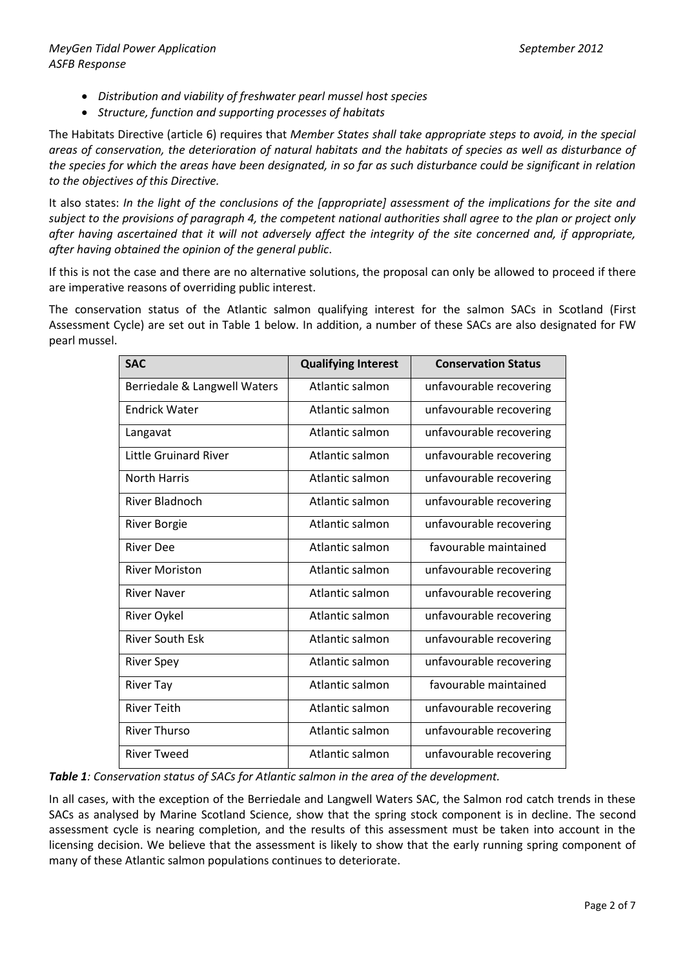- *Distribution and viability of freshwater pearl mussel host species*
- *Structure, function and supporting processes of habitats*

The Habitats Directive (article 6) requires that *Member States shall take appropriate steps to avoid, in the special areas of conservation, the deterioration of natural habitats and the habitats of species as well as disturbance of the species for which the areas have been designated, in so far as such disturbance could be significant in relation to the objectives of this Directive.*

It also states: *In the light of the conclusions of the [appropriate] assessment of the implications for the site and subject to the provisions of paragraph 4, the competent national authorities shall agree to the plan or project only after having ascertained that it will not adversely affect the integrity of the site concerned and, if appropriate, after having obtained the opinion of the general public*.

If this is not the case and there are no alternative solutions, the proposal can only be allowed to proceed if there are imperative reasons of overriding public interest.

The conservation status of the Atlantic salmon qualifying interest for the salmon SACs in Scotland (First Assessment Cycle) are set out in Table 1 below. In addition, a number of these SACs are also designated for FW pearl mussel.

| <b>SAC</b>                   | <b>Qualifying Interest</b> | <b>Conservation Status</b> |
|------------------------------|----------------------------|----------------------------|
| Berriedale & Langwell Waters | Atlantic salmon            | unfavourable recovering    |
| <b>Endrick Water</b>         | Atlantic salmon            | unfavourable recovering    |
| Langavat                     | Atlantic salmon            | unfavourable recovering    |
| <b>Little Gruinard River</b> | Atlantic salmon            | unfavourable recovering    |
| <b>North Harris</b>          | Atlantic salmon            | unfavourable recovering    |
| <b>River Bladnoch</b>        | Atlantic salmon            | unfavourable recovering    |
| <b>River Borgie</b>          | Atlantic salmon            | unfavourable recovering    |
| <b>River Dee</b>             | Atlantic salmon            | favourable maintained      |
| <b>River Moriston</b>        | Atlantic salmon            | unfavourable recovering    |
| <b>River Naver</b>           | Atlantic salmon            | unfavourable recovering    |
| River Oykel                  | Atlantic salmon            | unfavourable recovering    |
| <b>River South Esk</b>       | Atlantic salmon            | unfavourable recovering    |
| <b>River Spey</b>            | Atlantic salmon            | unfavourable recovering    |
| <b>River Tay</b>             | Atlantic salmon            | favourable maintained      |
| <b>River Teith</b>           | Atlantic salmon            | unfavourable recovering    |
| <b>River Thurso</b>          | Atlantic salmon            | unfavourable recovering    |
| <b>River Tweed</b>           | Atlantic salmon            | unfavourable recovering    |

*Table 1: Conservation status of SACs for Atlantic salmon in the area of the development.*

In all cases, with the exception of the Berriedale and Langwell Waters SAC, the Salmon rod catch trends in these SACs as analysed by Marine Scotland Science, show that the spring stock component is in decline. The second assessment cycle is nearing completion, and the results of this assessment must be taken into account in the licensing decision. We believe that the assessment is likely to show that the early running spring component of many of these Atlantic salmon populations continues to deteriorate.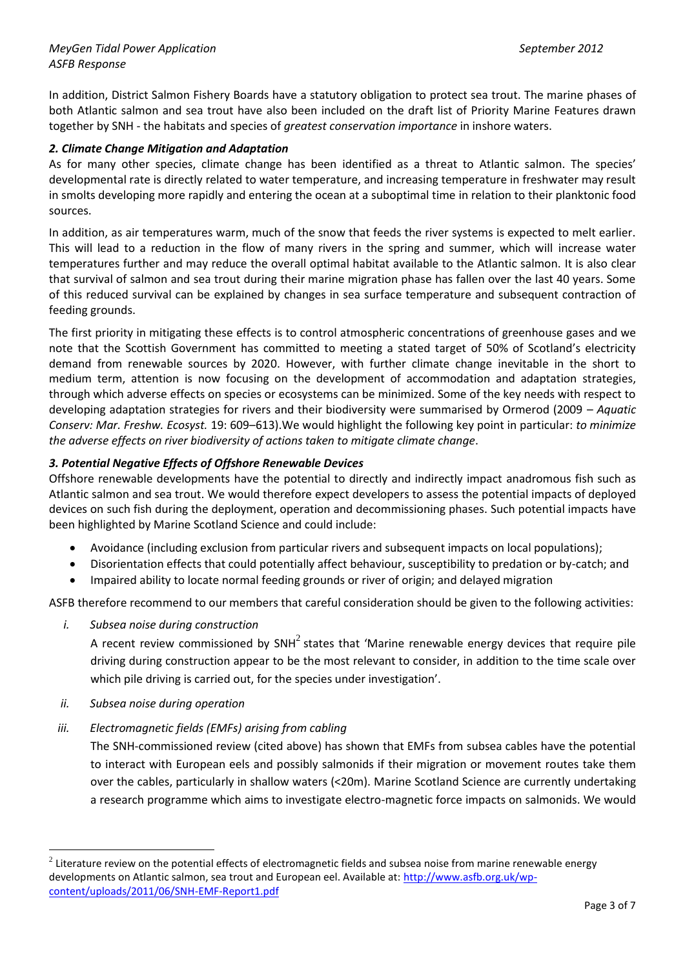In addition, District Salmon Fishery Boards have a statutory obligation to protect sea trout. The marine phases of both Atlantic salmon and sea trout have also been included on the draft list of Priority Marine Features drawn together by SNH - the habitats and species of *greatest conservation importance* in inshore waters.

# *2. Climate Change Mitigation and Adaptation*

As for many other species, climate change has been identified as a threat to Atlantic salmon. The species' developmental rate is directly related to water temperature, and increasing temperature in freshwater may result in smolts developing more rapidly and entering the ocean at a suboptimal time in relation to their planktonic food sources.

In addition, as air temperatures warm, much of the snow that feeds the river systems is expected to melt earlier. This will lead to a reduction in the flow of many rivers in the spring and summer, which will increase water temperatures further and may reduce the overall optimal habitat available to the Atlantic salmon. It is also clear that survival of salmon and sea trout during their marine migration phase has fallen over the last 40 years. Some of this reduced survival can be explained by changes in sea surface temperature and subsequent contraction of feeding grounds.

The first priority in mitigating these effects is to control atmospheric concentrations of greenhouse gases and we note that the Scottish Government has committed to meeting a stated target of 50% of Scotland's electricity demand from renewable sources by 2020. However, with further climate change inevitable in the short to medium term, attention is now focusing on the development of accommodation and adaptation strategies, through which adverse effects on species or ecosystems can be minimized. Some of the key needs with respect to developing adaptation strategies for rivers and their biodiversity were summarised by Ormerod (2009 – *Aquatic Conserv: Mar. Freshw. Ecosyst.* 19: 609–613).We would highlight the following key point in particular: *to minimize the adverse effects on river biodiversity of actions taken to mitigate climate change*.

# *3. Potential Negative Effects of Offshore Renewable Devices*

Offshore renewable developments have the potential to directly and indirectly impact anadromous fish such as Atlantic salmon and sea trout. We would therefore expect developers to assess the potential impacts of deployed devices on such fish during the deployment, operation and decommissioning phases. Such potential impacts have been highlighted by Marine Scotland Science and could include:

- Avoidance (including exclusion from particular rivers and subsequent impacts on local populations);
- Disorientation effects that could potentially affect behaviour, susceptibility to predation or by-catch; and
- Impaired ability to locate normal feeding grounds or river of origin; and delayed migration

ASFB therefore recommend to our members that careful consideration should be given to the following activities:

*i. Subsea noise during construction*

A recent review commissioned by SNH<sup>2</sup> states that 'Marine renewable energy devices that require pile driving during construction appear to be the most relevant to consider, in addition to the time scale over which pile driving is carried out, for the species under investigation'.

*ii. Subsea noise during operation*

 $\overline{a}$ 

*iii. Electromagnetic fields (EMFs) arising from cabling*

The SNH-commissioned review (cited above) has shown that EMFs from subsea cables have the potential to interact with European eels and possibly salmonids if their migration or movement routes take them over the cables, particularly in shallow waters (<20m). Marine Scotland Science are currently undertaking a research programme which aims to investigate electro-magnetic force impacts on salmonids. We would

 $^2$  Literature review on the potential effects of electromagnetic fields and subsea noise from marine renewable energy developments on Atlantic salmon, sea trout and European eel. Available at: [http://www.asfb.org.uk/wp](http://www.asfb.org.uk/wp-content/uploads/2011/06/SNH-EMF-Report1.pdf)[content/uploads/2011/06/SNH-EMF-Report1.pdf](http://www.asfb.org.uk/wp-content/uploads/2011/06/SNH-EMF-Report1.pdf)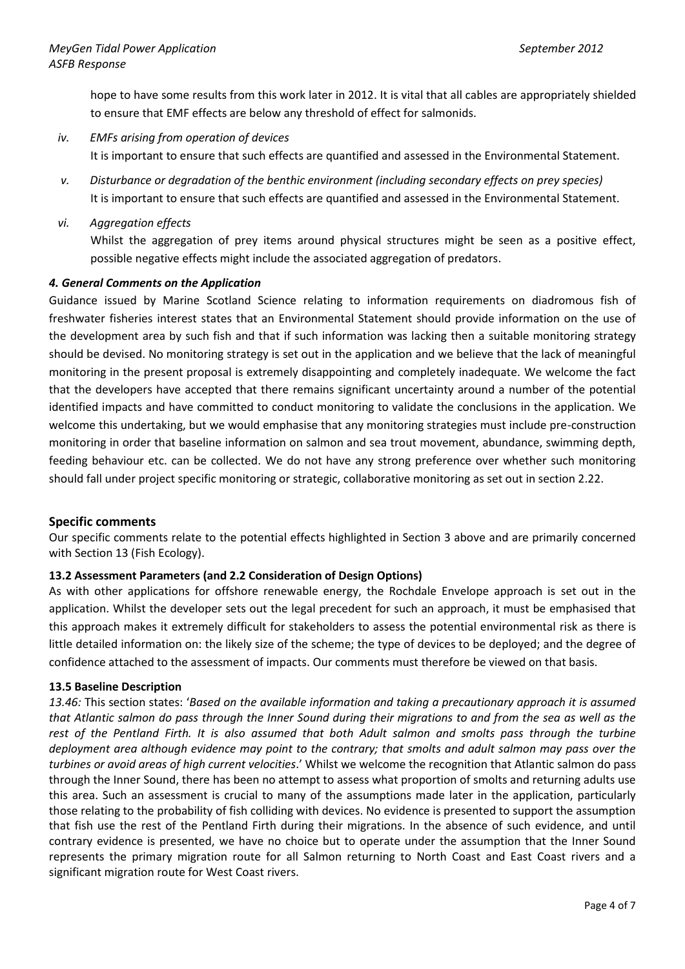hope to have some results from this work later in 2012. It is vital that all cables are appropriately shielded to ensure that EMF effects are below any threshold of effect for salmonids.

- *iv. EMFs arising from operation of devices* It is important to ensure that such effects are quantified and assessed in the Environmental Statement.
- *v. Disturbance or degradation of the benthic environment (including secondary effects on prey species)* It is important to ensure that such effects are quantified and assessed in the Environmental Statement.
- *vi. Aggregation effects*

Whilst the aggregation of prey items around physical structures might be seen as a positive effect, possible negative effects might include the associated aggregation of predators.

# *4. General Comments on the Application*

Guidance issued by Marine Scotland Science relating to information requirements on diadromous fish of freshwater fisheries interest states that an Environmental Statement should provide information on the use of the development area by such fish and that if such information was lacking then a suitable monitoring strategy should be devised. No monitoring strategy is set out in the application and we believe that the lack of meaningful monitoring in the present proposal is extremely disappointing and completely inadequate. We welcome the fact that the developers have accepted that there remains significant uncertainty around a number of the potential identified impacts and have committed to conduct monitoring to validate the conclusions in the application. We welcome this undertaking, but we would emphasise that any monitoring strategies must include pre-construction monitoring in order that baseline information on salmon and sea trout movement, abundance, swimming depth, feeding behaviour etc. can be collected. We do not have any strong preference over whether such monitoring should fall under project specific monitoring or strategic, collaborative monitoring as set out in section 2.22.

#### **Specific comments**

Our specific comments relate to the potential effects highlighted in Section 3 above and are primarily concerned with Section 13 (Fish Ecology).

# **13.2 Assessment Parameters (and 2.2 Consideration of Design Options)**

As with other applications for offshore renewable energy, the Rochdale Envelope approach is set out in the application. Whilst the developer sets out the legal precedent for such an approach, it must be emphasised that this approach makes it extremely difficult for stakeholders to assess the potential environmental risk as there is little detailed information on: the likely size of the scheme; the type of devices to be deployed; and the degree of confidence attached to the assessment of impacts. Our comments must therefore be viewed on that basis.

#### **13.5 Baseline Description**

*13.46:* This section states: '*Based on the available information and taking a precautionary approach it is assumed that Atlantic salmon do pass through the Inner Sound during their migrations to and from the sea as well as the rest of the Pentland Firth. It is also assumed that both Adult salmon and smolts pass through the turbine deployment area although evidence may point to the contrary; that smolts and adult salmon may pass over the turbines or avoid areas of high current velocities*.' Whilst we welcome the recognition that Atlantic salmon do pass through the Inner Sound, there has been no attempt to assess what proportion of smolts and returning adults use this area. Such an assessment is crucial to many of the assumptions made later in the application, particularly those relating to the probability of fish colliding with devices. No evidence is presented to support the assumption that fish use the rest of the Pentland Firth during their migrations. In the absence of such evidence, and until contrary evidence is presented, we have no choice but to operate under the assumption that the Inner Sound represents the primary migration route for all Salmon returning to North Coast and East Coast rivers and a significant migration route for West Coast rivers.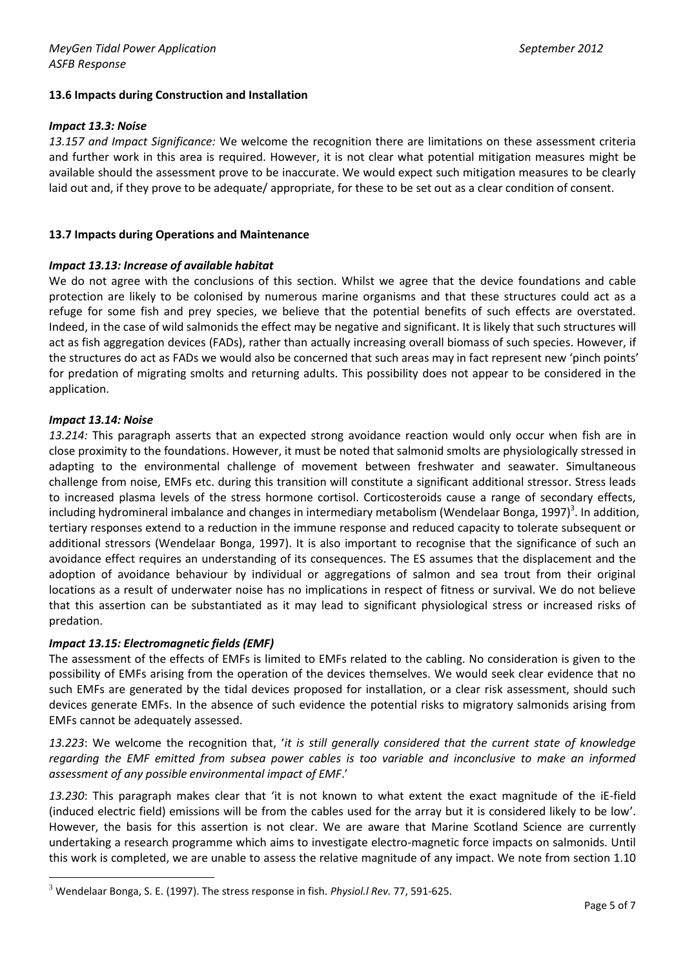# **13.6 Impacts during Construction and Installation**

#### *Impact 13.3: Noise*

*13.157 and Impact Significance:* We welcome the recognition there are limitations on these assessment criteria and further work in this area is required. However, it is not clear what potential mitigation measures might be available should the assessment prove to be inaccurate. We would expect such mitigation measures to be clearly laid out and, if they prove to be adequate/ appropriate, for these to be set out as a clear condition of consent.

#### **13.7 Impacts during Operations and Maintenance**

#### *Impact 13.13: Increase of available habitat*

We do not agree with the conclusions of this section. Whilst we agree that the device foundations and cable protection are likely to be colonised by numerous marine organisms and that these structures could act as a refuge for some fish and prey species, we believe that the potential benefits of such effects are overstated. Indeed, in the case of wild salmonids the effect may be negative and significant. It is likely that such structures will act as fish aggregation devices (FADs), rather than actually increasing overall biomass of such species. However, if the structures do act as FADs we would also be concerned that such areas may in fact represent new 'pinch points' for predation of migrating smolts and returning adults. This possibility does not appear to be considered in the application.

#### *Impact 13.14: Noise*

 $\overline{a}$ 

*13.214:* This paragraph asserts that an expected strong avoidance reaction would only occur when fish are in close proximity to the foundations. However, it must be noted that salmonid smolts are physiologically stressed in adapting to the environmental challenge of movement between freshwater and seawater. Simultaneous challenge from noise, EMFs etc. during this transition will constitute a significant additional stressor. Stress leads to increased plasma levels of the stress hormone cortisol. Corticosteroids cause a range of secondary effects, including hydromineral imbalance and changes in intermediary metabolism (Wendelaar Bonga, 1997)<sup>3</sup>. In addition, tertiary responses extend to a reduction in the immune response and reduced capacity to tolerate subsequent or additional stressors (Wendelaar Bonga, 1997). It is also important to recognise that the significance of such an avoidance effect requires an understanding of its consequences. The ES assumes that the displacement and the adoption of avoidance behaviour by individual or aggregations of salmon and sea trout from their original locations as a result of underwater noise has no implications in respect of fitness or survival. We do not believe that this assertion can be substantiated as it may lead to significant physiological stress or increased risks of predation.

#### *Impact 13.15: Electromagnetic fields (EMF)*

The assessment of the effects of EMFs is limited to EMFs related to the cabling. No consideration is given to the possibility of EMFs arising from the operation of the devices themselves. We would seek clear evidence that no such EMFs are generated by the tidal devices proposed for installation, or a clear risk assessment, should such devices generate EMFs. In the absence of such evidence the potential risks to migratory salmonids arising from EMFs cannot be adequately assessed.

*13.223*: We welcome the recognition that, '*it is still generally considered that the current state of knowledge regarding the EMF emitted from subsea power cables is too variable and inconclusive to make an informed assessment of any possible environmental impact of EMF*.'

*13.230*: This paragraph makes clear that 'it is not known to what extent the exact magnitude of the iE-field (induced electric field) emissions will be from the cables used for the array but it is considered likely to be low'. However, the basis for this assertion is not clear. We are aware that Marine Scotland Science are currently undertaking a research programme which aims to investigate electro-magnetic force impacts on salmonids. Until this work is completed, we are unable to assess the relative magnitude of any impact. We note from section 1.10

<sup>3</sup> Wendelaar Bonga, S. E. (1997). The stress response in fish. *Physiol.l Rev.* 77, 591-625.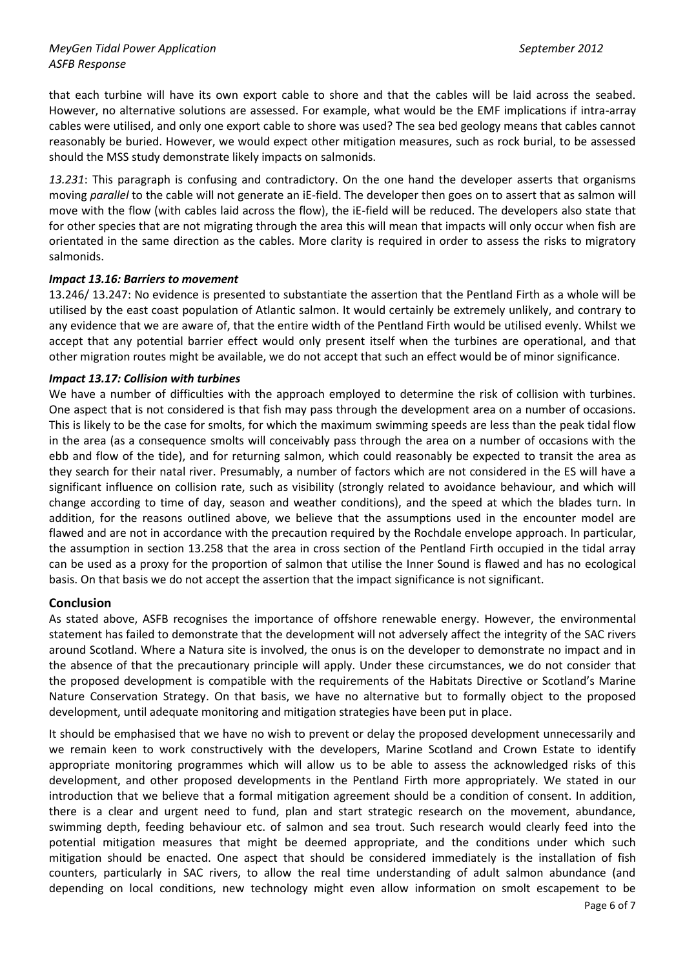that each turbine will have its own export cable to shore and that the cables will be laid across the seabed. However, no alternative solutions are assessed. For example, what would be the EMF implications if intra-array cables were utilised, and only one export cable to shore was used? The sea bed geology means that cables cannot reasonably be buried. However, we would expect other mitigation measures, such as rock burial, to be assessed should the MSS study demonstrate likely impacts on salmonids.

*13.231*: This paragraph is confusing and contradictory. On the one hand the developer asserts that organisms moving *parallel* to the cable will not generate an iE-field. The developer then goes on to assert that as salmon will move with the flow (with cables laid across the flow), the iE-field will be reduced. The developers also state that for other species that are not migrating through the area this will mean that impacts will only occur when fish are orientated in the same direction as the cables. More clarity is required in order to assess the risks to migratory salmonids.

# *Impact 13.16: Barriers to movement*

13.246/ 13.247: No evidence is presented to substantiate the assertion that the Pentland Firth as a whole will be utilised by the east coast population of Atlantic salmon. It would certainly be extremely unlikely, and contrary to any evidence that we are aware of, that the entire width of the Pentland Firth would be utilised evenly. Whilst we accept that any potential barrier effect would only present itself when the turbines are operational, and that other migration routes might be available, we do not accept that such an effect would be of minor significance.

#### *Impact 13.17: Collision with turbines*

We have a number of difficulties with the approach employed to determine the risk of collision with turbines. One aspect that is not considered is that fish may pass through the development area on a number of occasions. This is likely to be the case for smolts, for which the maximum swimming speeds are less than the peak tidal flow in the area (as a consequence smolts will conceivably pass through the area on a number of occasions with the ebb and flow of the tide), and for returning salmon, which could reasonably be expected to transit the area as they search for their natal river. Presumably, a number of factors which are not considered in the ES will have a significant influence on collision rate, such as visibility (strongly related to avoidance behaviour, and which will change according to time of day, season and weather conditions), and the speed at which the blades turn. In addition, for the reasons outlined above, we believe that the assumptions used in the encounter model are flawed and are not in accordance with the precaution required by the Rochdale envelope approach. In particular, the assumption in section 13.258 that the area in cross section of the Pentland Firth occupied in the tidal array can be used as a proxy for the proportion of salmon that utilise the Inner Sound is flawed and has no ecological basis. On that basis we do not accept the assertion that the impact significance is not significant.

# **Conclusion**

As stated above, ASFB recognises the importance of offshore renewable energy. However, the environmental statement has failed to demonstrate that the development will not adversely affect the integrity of the SAC rivers around Scotland. Where a Natura site is involved, the onus is on the developer to demonstrate no impact and in the absence of that the precautionary principle will apply. Under these circumstances, we do not consider that the proposed development is compatible with the requirements of the Habitats Directive or Scotland's Marine Nature Conservation Strategy. On that basis, we have no alternative but to formally object to the proposed development, until adequate monitoring and mitigation strategies have been put in place.

It should be emphasised that we have no wish to prevent or delay the proposed development unnecessarily and we remain keen to work constructively with the developers, Marine Scotland and Crown Estate to identify appropriate monitoring programmes which will allow us to be able to assess the acknowledged risks of this development, and other proposed developments in the Pentland Firth more appropriately. We stated in our introduction that we believe that a formal mitigation agreement should be a condition of consent. In addition, there is a clear and urgent need to fund, plan and start strategic research on the movement, abundance, swimming depth, feeding behaviour etc. of salmon and sea trout. Such research would clearly feed into the potential mitigation measures that might be deemed appropriate, and the conditions under which such mitigation should be enacted. One aspect that should be considered immediately is the installation of fish counters, particularly in SAC rivers, to allow the real time understanding of adult salmon abundance (and depending on local conditions, new technology might even allow information on smolt escapement to be